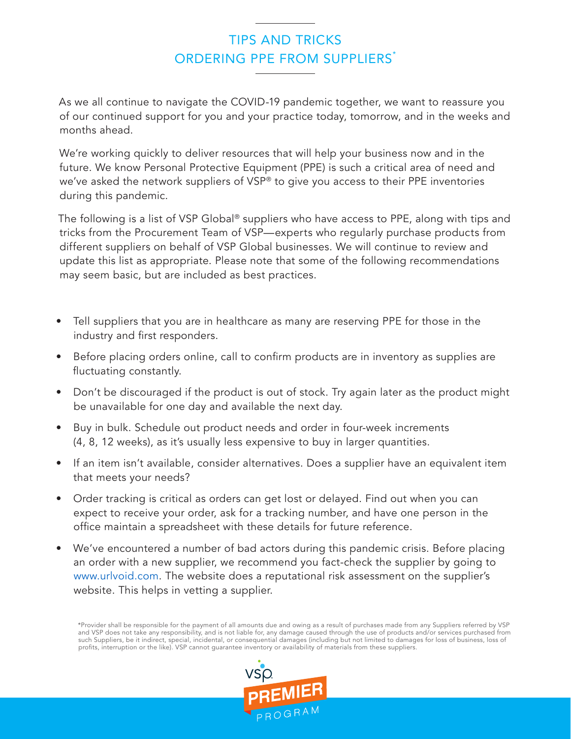## TIPS AND TRICKS ORDERING PPF FROM SUPPLIERS<sup>\*</sup>

As we all continue to navigate the COVID-19 pandemic together, we want to reassure you of our continued support for you and your practice today, tomorrow, and in the weeks and months ahead.

We're working quickly to deliver resources that will help your business now and in the future. We know Personal Protective Equipment (PPE) is such a critical area of need and we've asked the network suppliers of VSP® to give you access to their PPE inventories during this pandemic.

The following is a list of VSP Global® suppliers who have access to PPE, along with tips and tricks from the Procurement Team of VSP—experts who regularly purchase products from different suppliers on behalf of VSP Global businesses. We will continue to review and update this list as appropriate. Please note that some of the following recommendations may seem basic, but are included as best practices.

- Tell suppliers that you are in healthcare as many are reserving PPE for those in the industry and first responders.
- Before placing orders online, call to confirm products are in inventory as supplies are fluctuating constantly.
- Don't be discouraged if the product is out of stock. Try again later as the product might be unavailable for one day and available the next day.
- Buy in bulk. Schedule out product needs and order in four-week increments (4, 8, 12 weeks), as it's usually less expensive to buy in larger quantities.
- If an item isn't available, consider alternatives. Does a supplier have an equivalent item that meets your needs?
- Order tracking is critical as orders can get lost or delayed. Find out when you can expect to receive your order, ask for a tracking number, and have one person in the office maintain a spreadsheet with these details for future reference.
- We've encountered a number of bad actors during this pandemic crisis. Before placing an order with a new supplier, we recommend you fact-check the supplier by going to [www.urlvoid.com](https://www.urlvoid.com). The website does a reputational risk assessment on the supplier's website. This helps in vetting a supplier.

\*Provider shall be responsible for the payment of all amounts due and owing as a result of purchases made from any Suppliers referred by VSP and VSP does not take any responsibility, and is not liable for, any damage caused through the use of products and/or services purchased from such Suppliers, be it indirect, special, incidental, or consequential damages (including but not limited to damages for loss of business, loss of profits, interruption or the like). VSP cannot guarantee inventory or availability of materials from these suppliers.